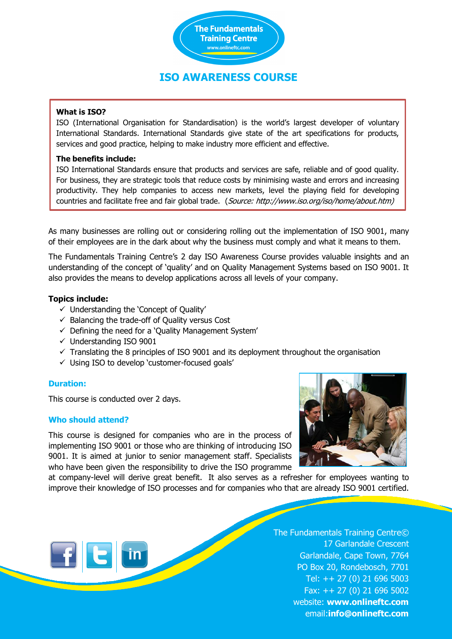

## **ISO AWARENESS COURSE**

### **What is ISO?**

ISO (International Organisation for Standardisation) is the world's largest developer of voluntary International Standards. International Standards give state of the art specifications for products, services and good practice, helping to make industry more efficient and effective.

### **The benefits include:**

ISO International Standards ensure that products and services are safe, reliable and of good quality. For business, they are strategic tools that reduce costs by minimising waste and errors and increasing productivity. They help companies to access new markets, level the playing field for developing countries and facilitate free and fair global trade. (Source: http://www.iso.org/iso/home/about.htm)

As many businesses are rolling out or considering rolling out the implementation of ISO 9001, many of their employees are in the dark about why the business must comply and what it means to them.

The Fundamentals Training Centre's 2 day ISO Awareness Course provides valuable insights and an understanding of the concept of 'quality' and on Quality Management Systems based on ISO 9001. It also provides the means to develop applications across all levels of your company.

### **Topics include:**

- $\checkmark$  Understanding the 'Concept of Quality'
- $\checkmark$  Balancing the trade-off of Quality versus Cost
- $\checkmark$  Defining the need for a 'Quality Management System'
- $\checkmark$  Understanding ISO 9001
- $\checkmark$  Translating the 8 principles of ISO 9001 and its deployment throughout the organisation
- $\checkmark$  Using ISO to develop 'customer-focused goals'

### **Duration:**

This course is conducted over 2 days.

### **Who should attend?**

FE in

This course is designed for companies who are in the process of implementing ISO 9001 or those who are thinking of introducing ISO 9001. It is aimed at junior to senior management staff. Specialists who have been given the responsibility to drive the ISO programme



at company-level will derive great benefit. It also serves as a refresher for employees wanting to improve their knowledge of ISO processes and for companies who that are already ISO 9001 certified.

> The Fundamentals Training Centre© 17 Garlandale Crescent Garlandale, Cape Town, 7764 PO Box 20, Rondebosch, 7701 Tel: ++ 27 (0) 21 696 5003 Fax: ++ 27 (0) 21 696 5002 website: **www.onlineftc.com** email:**info@onlineftc.com**